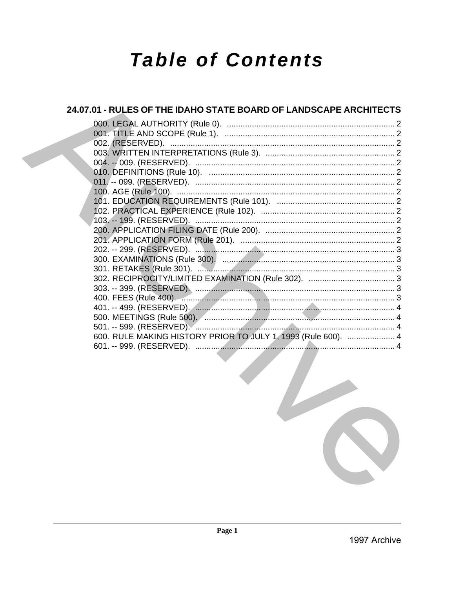# **Table of Contents**

| 24.07.01 - RULES OF THE IDAHO STATE BOARD OF LANDSCAPE ARCHITECTS                               |  |
|-------------------------------------------------------------------------------------------------|--|
|                                                                                                 |  |
|                                                                                                 |  |
|                                                                                                 |  |
|                                                                                                 |  |
|                                                                                                 |  |
|                                                                                                 |  |
|                                                                                                 |  |
|                                                                                                 |  |
|                                                                                                 |  |
|                                                                                                 |  |
|                                                                                                 |  |
|                                                                                                 |  |
|                                                                                                 |  |
|                                                                                                 |  |
|                                                                                                 |  |
|                                                                                                 |  |
|                                                                                                 |  |
|                                                                                                 |  |
|                                                                                                 |  |
|                                                                                                 |  |
|                                                                                                 |  |
|                                                                                                 |  |
| 600. RULE MAKING HISTORY PRIOR TO JULY 1, 1993 (Rule 600).  4                                   |  |
| the contract of the contract of the contract of the contract of the contract of the contract of |  |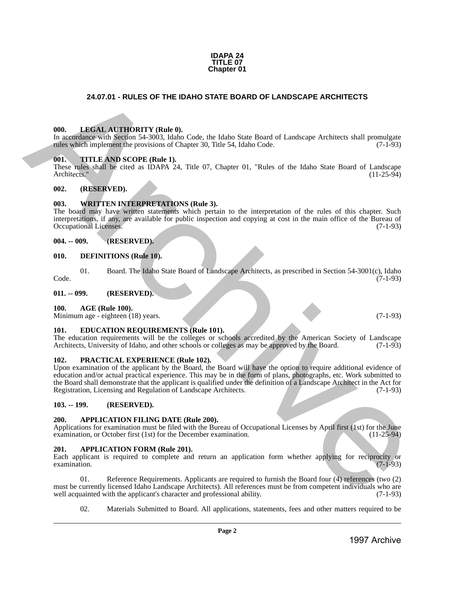#### **IDAPA 24 TITLE 07 Chapter 01**

# **24.07.01 - RULES OF THE IDAHO STATE BOARD OF LANDSCAPE ARCHITECTS**

#### <span id="page-1-1"></span>**000. LEGAL AUTHORITY (Rule 0).**

In accordance with Section 54-3003, Idaho Code, the Idaho State Board of Landscape Architects shall promulgate rules which implement the provisions of Chapter 30, Title 54, Idaho Code. (7-1-93)

#### <span id="page-1-2"></span>**001. TITLE AND SCOPE (Rule 1).**

These rules shall be cited as IDAPA 24, Title 07, Chapter 01, "Rules of the Idaho State Board of Landscape Architects." (11-25-94)

#### <span id="page-1-3"></span>**002. (RESERVED).**

#### <span id="page-1-4"></span>**003. WRITTEN INTERPRETATIONS (Rule 3).**

The board may have written statements which pertain to the interpretation of the rules of this chapter. Such interpretations, if any, are available for public inspection and copying at cost in the main office of the Bureau of Occupational Licenses.

#### <span id="page-1-5"></span>**004. -- 009. (RESERVED).**

#### <span id="page-1-6"></span>**010. DEFINITIONS (Rule 10).**

01. Board. The Idaho State Board of Landscape Architects, as prescribed in Section 54-3001(c), Idaho (7-1-93) Code. (7-1-93)

<span id="page-1-7"></span>**011. -- 099. (RESERVED).**

#### <span id="page-1-8"></span>**100. AGE (Rule 100).**

Minimum age - eighteen (18) years. (7-1-93)

#### <span id="page-1-9"></span>**101. EDUCATION REQUIREMENTS (Rule 101).**

The education requirements will be the colleges or schools accredited by the American Society of Landscape Architects, University of Idaho, and other schools or colleges as may be approved by the Board. (7-1-93)

#### <span id="page-1-10"></span>**102. PRACTICAL EXPERIENCE (Rule 102).**

<span id="page-1-0"></span>Upon examination of the applicant by the Board, the Board will have the option to require additional evidence of education and/or actual practical experience. This may be in the form of plans, photographs, etc. Work submitted to the Board shall demonstrate that the applicant is qualified under the definition of a Landscape Architect in the Act for Registration, Licensing and Regulation of Landscape Architects. (7-1-93) 24.67.01 - RUGALINE DOARD STATE BOARD OF LANDSCAPE ARCHITECTS<br>
1998. ABRELIA AT THORTTY (Reds.), Code the Idalia State Board of Landscape Architects shall promine in the Code of the Internet Architects shall promine and t

#### <span id="page-1-11"></span>**103. -- 199. (RESERVED).**

#### <span id="page-1-12"></span>**200. APPLICATION FILING DATE (Rule 200).**

Applications for examination must be filed with the Bureau of Occupational Licenses by April first (1st) for the June examination, or October first (1st) for the December examination. (11-25-94) examination, or October first (1st) for the December examination.

#### <span id="page-1-13"></span>**201. APPLICATION FORM (Rule 201).**

Each applicant is required to complete and return an application form whether applying for reciprocity or  $\alpha$  examination. (7-1-93)

01. Reference Requirements. Applicants are required to furnish the Board four (4) references (two (2) must be currently licensed Idaho Landscape Architects). All references must be from competent individuals who are well acquainted with the applicant's character and professional ability. (7-1-93) well acquainted with the applicant's character and professional ability.

02. Materials Submitted to Board. All applications, statements, fees and other matters required to be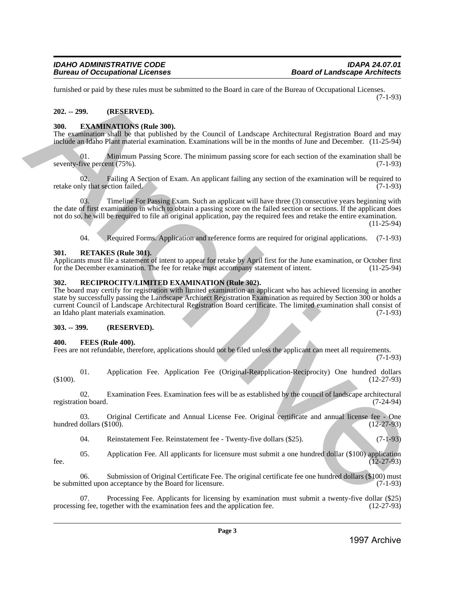furnished or paid by these rules must be submitted to the Board in care of the Bureau of Occupational Licenses. (7-1-93)

# <span id="page-2-0"></span>**202. -- 299. (RESERVED).**

# <span id="page-2-1"></span>**300. EXAMINATIONS (Rule 300).**

The examination shall be that published by the Council of Landscape Architectural Registration Board and may include an Idaho Plant material examination. Examinations will be in the months of June and December. (11-25-94)

01. Minimum Passing Score. The minimum passing score for each section of the examination shall be seventy-five percent (75%). (7-1-93)

02. Failing A Section of Exam. An applicant failing any section of the examination will be required to ly that section failed. (7-1-93) retake only that section failed.

03. Timeline For Passing Exam. Such an applicant will have three (3) consecutive years beginning with the date of first examination in which to obtain a passing score on the failed section or sections. If the applicant does not do so, he will be required to file an original application, pay the required fees and retake the entire examination.

(11-25-94)

04. Required Forms. Application and reference forms are required for original applications. (7-1-93)

# <span id="page-2-2"></span>**301. RETAKES (Rule 301).**

Applicants must file a statement of intent to appear for retake by April first for the June examination, or October first for the December examination. The fee for retake must accompany statement of intent. (11-25-94) for the December examination. The fee for retake must accompany statement of intent.

# <span id="page-2-3"></span>**302. RECIPROCITY/LIMITED EXAMINATION (Rule 302).**

The board may certify for registration with limited examination an applicant who has achieved licensing in another state by successfully passing the Landscape Architect Registration Examination as required by Section 300 or holds a current Council of Landscape Architectural Registration Board certificate. The limited examination shall consist of an Idaho plant materials examination. (7-1-93) Eurassino of pair by show that be solven in the boost in the total strengthening Hermannian and the solven in the solven in the solven in the solven in the solven in the solven in the solven in the solven in the solven in

# <span id="page-2-4"></span>**303. -- 399. (RESERVED).**

# <span id="page-2-5"></span>**400. FEES (Rule 400).**

Fees are not refundable, therefore, applications should not be filed unless the applicant can meet all requirements.

(7-1-93)

01. Application Fee. Application Fee (Original-Reapplication-Reciprocity) One hundred dollars  $(12-27-93)$  (12-27-93)

02. Examination Fees. Examination fees will be as established by the council of landscape architectural registration board. (7-24-94)

03. Original Certificate and Annual License Fee. Original certificate and annual license fee - One dollars (\$100). (12-27-93) hundred dollars  $(\$100)$ .

04. Reinstatement Fee. Reinstatement fee - Twenty-five dollars (\$25). (7-1-93)

05. Application Fee. All applicants for licensure must submit a one hundred dollar (\$100) application fee.  $(12-27-93)$ 

06. Submission of Original Certificate Fee. The original certificate fee one hundred dollars (\$100) must be submitted upon acceptance by the Board for licensure. (7-1-93)

Processing Fee. Applicants for licensing by examination must submit a twenty-five dollar (\$25) gether with the examination fees and the application fee. (12-27-93) processing fee, together with the examination fees and the application fee.